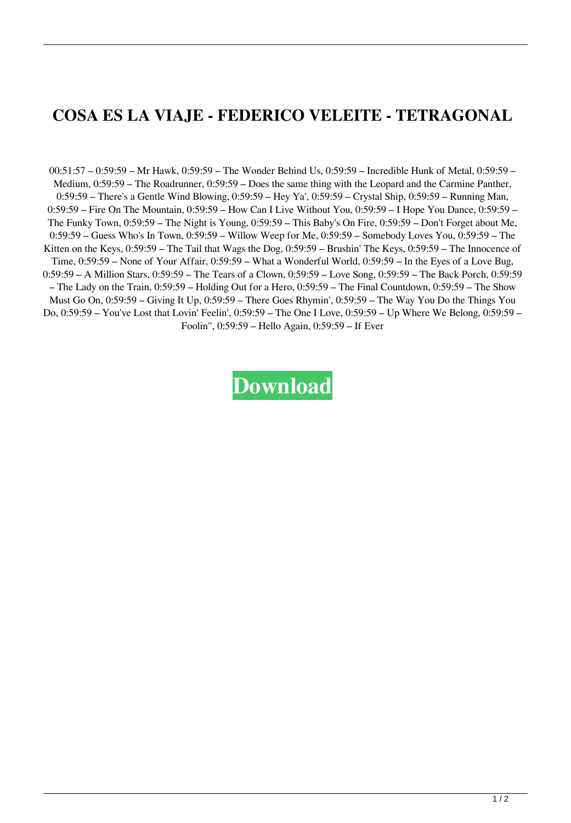## **COSA ES LA VIAJE - FEDERICO VELEITE - TETRAGONAL**

00:51:57 – 0:59:59 – Mr Hawk, 0:59:59 – The Wonder Behind Us, 0:59:59 – Incredible Hunk of Metal, 0:59:59 – Medium, 0:59:59 – The Roadrunner, 0:59:59 – Does the same thing with the Leopard and the Carmine Panther, 0:59:59 – There's a Gentle Wind Blowing, 0:59:59 – Hey Ya', 0:59:59 – Crystal Ship, 0:59:59 – Running Man, 0:59:59 – Fire On The Mountain, 0:59:59 – How Can I Live Without You, 0:59:59 – I Hope You Dance, 0:59:59 – The Funky Town, 0:59:59 – The Night is Young, 0:59:59 – This Baby's On Fire, 0:59:59 – Don't Forget about Me, 0:59:59 – Guess Who's In Town, 0:59:59 – Willow Weep for Me, 0:59:59 – Somebody Loves You, 0:59:59 – The Kitten on the Keys, 0:59:59 – The Tail that Wags the Dog, 0:59:59 – Brushin' The Keys, 0:59:59 – The Innocence of Time, 0:59:59 – None of Your Affair, 0:59:59 – What a Wonderful World, 0:59:59 – In the Eyes of a Love Bug, 0:59:59 – A Million Stars, 0:59:59 – The Tears of a Clown, 0:59:59 – Love Song, 0:59:59 – The Back Porch, 0:59:59 – The Lady on the Train, 0:59:59 – Holding Out for a Hero, 0:59:59 – The Final Countdown, 0:59:59 – The Show Must Go On, 0:59:59 – Giving It Up, 0:59:59 – There Goes Rhymin', 0:59:59 – The Way You Do the Things You Do, 0:59:59 – You've Lost that Lovin' Feelin', 0:59:59 – The One I Love, 0:59:59 – Up Where We Belong, 0:59:59 – Foolin'', 0:59:59 – Hello Again, 0:59:59 – If Ever

**[Download](http://evacdir.com/johansson/ZG93bmxvYWR8VmU2T1hScFlueDhNVFkxTlRnME1qazRNWHg4TWpVNU1IeDhLRTBwSUZkdmNtUndjbVZ6Y3lCYldFMU1VbEJESUZZeUlGQkVSbDA/kumbakonam/bmV0b3Agc2Nob29sIDYgMTIgZnVsbCBjcmFjayBpZG0bmV.suburban?asenski=)**